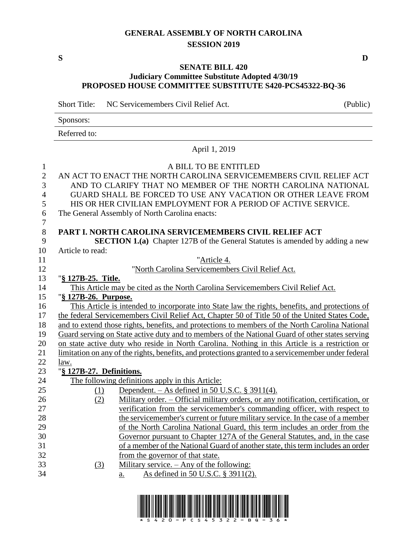## **GENERAL ASSEMBLY OF NORTH CAROLINA SESSION 2019**

### **SENATE BILL 420 Judiciary Committee Substitute Adopted 4/30/19 PROPOSED HOUSE COMMITTEE SUBSTITUTE S420-PCS45322-BQ-36**

Short Title: NC Servicemembers Civil Relief Act. (Public)

| Sponsors: |  |  |
|-----------|--|--|
|           |  |  |

Referred to:

# April 1, 2019

| $\mathbf{1}$   |                          | A BILL TO BE ENTITLED                                                                               |
|----------------|--------------------------|-----------------------------------------------------------------------------------------------------|
| $\overline{2}$ |                          | AN ACT TO ENACT THE NORTH CAROLINA SERVICEMEMBERS CIVIL RELIEF ACT                                  |
| 3              |                          | AND TO CLARIFY THAT NO MEMBER OF THE NORTH CAROLINA NATIONAL                                        |
| $\overline{4}$ |                          | GUARD SHALL BE FORCED TO USE ANY VACATION OR OTHER LEAVE FROM                                       |
| 5              |                          | HIS OR HER CIVILIAN EMPLOYMENT FOR A PERIOD OF ACTIVE SERVICE.                                      |
| 6              |                          | The General Assembly of North Carolina enacts:                                                      |
| $\overline{7}$ |                          |                                                                                                     |
| $8\,$          |                          | PART I. NORTH CAROLINA SERVICEMEMBERS CIVIL RELIEF ACT                                              |
| 9              |                          | <b>SECTION 1.(a)</b> Chapter 127B of the General Statutes is amended by adding a new                |
| 10             | Article to read:         |                                                                                                     |
| 11             |                          | "Article 4.                                                                                         |
| 12             |                          | "North Carolina Servicemembers Civil Relief Act.                                                    |
| 13             | "§ 127B-25. Title.       |                                                                                                     |
| 14             |                          | This Article may be cited as the North Carolina Servicemembers Civil Relief Act.                    |
| 15             | "§ 127B-26. Purpose.     |                                                                                                     |
| 16             |                          | This Article is intended to incorporate into State law the rights, benefits, and protections of     |
| 17             |                          | the federal Servicemembers Civil Relief Act, Chapter 50 of Title 50 of the United States Code,      |
| 18             |                          | and to extend those rights, benefits, and protections to members of the North Carolina National     |
| 19             |                          | Guard serving on State active duty and to members of the National Guard of other states serving     |
| 20             |                          | on state active duty who reside in North Carolina. Nothing in this Article is a restriction or      |
| 21             |                          | limitation on any of the rights, benefits, and protections granted to a servicemember under federal |
| 22             | <u>law.</u>              |                                                                                                     |
| 23             | "§ 127B-27. Definitions. |                                                                                                     |
| 24             |                          | The following definitions apply in this Article:                                                    |
| 25             | (1)                      | Dependent. $-$ As defined in 50 U.S.C. § 3911(4).                                                   |
| 26             | (2)                      | Military order. – Official military orders, or any notification, certification, or                  |
| 27             |                          | verification from the servicemember's commanding officer, with respect to                           |
| 28             |                          | the servicemember's current or future military service. In the case of a member                     |
| 29             |                          | of the North Carolina National Guard, this term includes an order from the                          |
| 30             |                          | Governor pursuant to Chapter 127A of the General Statutes, and, in the case                         |
| 31             |                          | of a member of the National Guard of another state, this term includes an order                     |
| 32             |                          | from the governor of that state.                                                                    |
| 33             | (3)                      | Military service. - Any of the following:                                                           |
| 34             |                          | As defined in 50 U.S.C. § 3911(2).<br>a.                                                            |

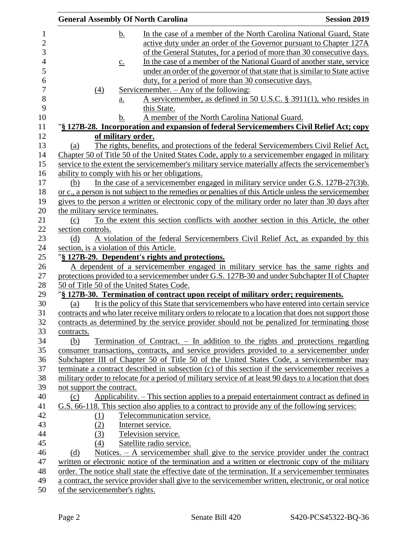| <b>General Assembly Of North Carolina</b> |                                                                                                                                                                                                             | <b>Session 2019</b> |
|-------------------------------------------|-------------------------------------------------------------------------------------------------------------------------------------------------------------------------------------------------------------|---------------------|
| <u>b.</u>                                 | In the case of a member of the North Carolina National Guard, State                                                                                                                                         |                     |
|                                           | active duty under an order of the Governor pursuant to Chapter 127A                                                                                                                                         |                     |
|                                           | of the General Statutes, for a period of more than 30 consecutive days.                                                                                                                                     |                     |
| $\underline{c}$ .                         | In the case of a member of the National Guard of another state, service                                                                                                                                     |                     |
|                                           | under an order of the governor of that state that is similar to State active                                                                                                                                |                     |
|                                           | duty, for a period of more than 30 consecutive days.                                                                                                                                                        |                     |
| $\underline{(4)}$                         | <u>Servicemember. – Any of the following:</u>                                                                                                                                                               |                     |
| a.                                        | A servicemember, as defined in 50 U.S.C. $\S$ 3911(1), who resides in<br>this State.                                                                                                                        |                     |
| b.                                        | A member of the North Carolina National Guard.                                                                                                                                                              |                     |
|                                           | "§ 127B-28. Incorporation and expansion of federal Servicemembers Civil Relief Act; copy                                                                                                                    |                     |
| of military order.                        |                                                                                                                                                                                                             |                     |
| (a)                                       | The rights, benefits, and protections of the federal Servicemembers Civil Relief Act,                                                                                                                       |                     |
|                                           | Chapter 50 of Title 50 of the United States Code, apply to a servicemember engaged in military                                                                                                              |                     |
|                                           | service to the extent the servicemember's military service materially affects the servicemember's                                                                                                           |                     |
|                                           | ability to comply with his or her obligations.                                                                                                                                                              |                     |
| (b)                                       | In the case of a servicemember engaged in military service under G.S. 127B-27(3)b.                                                                                                                          |                     |
|                                           | or c., a person is not subject to the remedies or penalties of this Article unless the servicemember                                                                                                        |                     |
|                                           | gives to the person a written or electronic copy of the military order no later than 30 days after                                                                                                          |                     |
| the military service terminates.          |                                                                                                                                                                                                             |                     |
| (c)                                       | To the extent this section conflicts with another section in this Article, the other                                                                                                                        |                     |
| section controls.                         |                                                                                                                                                                                                             |                     |
| (d)                                       | A violation of the federal Servicemembers Civil Relief Act, as expanded by this                                                                                                                             |                     |
| section, is a violation of this Article.  |                                                                                                                                                                                                             |                     |
|                                           | "§ 127B-29. Dependent's rights and protections.                                                                                                                                                             |                     |
|                                           | A dependent of a servicemember engaged in military service has the same rights and                                                                                                                          |                     |
|                                           | protections provided to a servicemember under G.S. 127B-30 and under Subchapter II of Chapter                                                                                                               |                     |
| 50 of Title 50 of the United States Code. |                                                                                                                                                                                                             |                     |
|                                           | "§ 127B-30. Termination of contract upon receipt of military order; requirements.                                                                                                                           |                     |
| (a)                                       | It is the policy of this State that servicemembers who have entered into certain service                                                                                                                    |                     |
|                                           | contracts and who later receive military orders to relocate to a location that does not support those                                                                                                       |                     |
|                                           | contracts as determined by the service provider should not be penalized for terminating those                                                                                                               |                     |
| contracts.                                |                                                                                                                                                                                                             |                     |
| (b)                                       | <u>Termination of Contract. – In addition to the rights and protections regarding</u>                                                                                                                       |                     |
|                                           | consumer transactions, contracts, and service providers provided to a servicemember under                                                                                                                   |                     |
|                                           | Subchapter III of Chapter 50 of Title 50 of the United States Code, a servicemember may                                                                                                                     |                     |
|                                           | terminate a contract described in subsection (c) of this section if the servicemember receives a<br>military order to relocate for a period of military service of at least 90 days to a location that does |                     |
| not support the contract.                 |                                                                                                                                                                                                             |                     |
| (c)                                       | Applicability. - This section applies to a prepaid entertainment contract as defined in                                                                                                                     |                     |
|                                           | G.S. 66-118. This section also applies to a contract to provide any of the following services:                                                                                                              |                     |
| (1)                                       | Telecommunication service.                                                                                                                                                                                  |                     |
| (2)                                       | Internet service.                                                                                                                                                                                           |                     |
| (3)                                       | Television service.                                                                                                                                                                                         |                     |
| (4)                                       | Satellite radio service.                                                                                                                                                                                    |                     |
| (d)                                       | Notices. $- A$ servicemember shall give to the service provider under the contract                                                                                                                          |                     |
|                                           | written or electronic notice of the termination and a written or electronic copy of the military                                                                                                            |                     |
|                                           | order. The notice shall state the effective date of the termination. If a servicemember terminates                                                                                                          |                     |
|                                           | a contract, the service provider shall give to the servicemember written, electronic, or oral notice                                                                                                        |                     |
| of the servicemember's rights.            |                                                                                                                                                                                                             |                     |
|                                           |                                                                                                                                                                                                             |                     |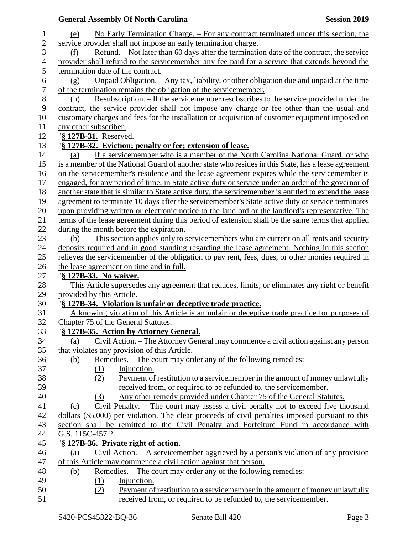|                  |                                   | <b>General Assembly Of North Carolina</b>                                                             | <b>Session 2019</b> |
|------------------|-----------------------------------|-------------------------------------------------------------------------------------------------------|---------------------|
| 1                | (e)                               | No Early Termination Charge. – For any contract terminated under this section, the                    |                     |
| $\overline{c}$   |                                   | service provider shall not impose an early termination charge.                                        |                     |
| 3                | (f)                               | Refund. – Not later than 60 days after the termination date of the contract, the service              |                     |
| $\overline{4}$   |                                   | provider shall refund to the servicemember any fee paid for a service that extends beyond the         |                     |
| 5                | termination date of the contract. |                                                                                                       |                     |
| 6                | (g)                               | Unpaid Obligation. - Any tax, liability, or other obligation due and unpaid at the time               |                     |
| $\boldsymbol{7}$ |                                   | of the termination remains the obligation of the servicemember.                                       |                     |
| $8\,$            | (h)                               | Resubscription. – If the servicemember resubscribes to the service provided under the                 |                     |
| 9                |                                   | contract, the service provider shall not impose any charge or fee other than the usual and            |                     |
| 10               |                                   | customary charges and fees for the installation or acquisition of customer equipment imposed on       |                     |
| 11               | any other subscriber.             |                                                                                                       |                     |
| 12               |                                   |                                                                                                       |                     |
| 13               | "§ 127B-31. Reserved.             |                                                                                                       |                     |
|                  |                                   | "§ 127B-32. Eviction; penalty or fee; extension of lease.                                             |                     |
| 14               | (a)                               | If a servicemember who is a member of the North Carolina National Guard, or who                       |                     |
| 15               |                                   | is a member of the National Guard of another state who resides in this State, has a lease agreement   |                     |
| 16               |                                   | on the servicemember's residence and the lease agreement expires while the servicemember is           |                     |
| 17               |                                   | engaged, for any period of time, in State active duty or service under an order of the governor of    |                     |
| 18               |                                   | another state that is similar to State active duty, the servicemember is entitled to extend the lease |                     |
| 19               |                                   | agreement to terminate 10 days after the servicemember's State active duty or service terminates      |                     |
| 20               |                                   | upon providing written or electronic notice to the landlord or the landlord's representative. The     |                     |
| 21               |                                   | terms of the lease agreement during this period of extension shall be the same terms that applied     |                     |
| 22               |                                   | during the month before the expiration.                                                               |                     |
| 23               | (b)                               | This section applies only to service members who are current on all rents and security                |                     |
| 24               |                                   | deposits required and in good standing regarding the lease agreement. Nothing in this section         |                     |
| 25               |                                   | relieves the servicemember of the obligation to pay rent, fees, dues, or other monies required in     |                     |
| 26               |                                   | the lease agreement on time and in full.                                                              |                     |
| 27               | "§ 127B-33. No waiver.            |                                                                                                       |                     |
| 28               |                                   | This Article supersedes any agreement that reduces, limits, or eliminates any right or benefit        |                     |
| 29               | provided by this Article.         |                                                                                                       |                     |
| 30               |                                   | "§ 127B-34. Violation is unfair or deceptive trade practice.                                          |                     |
| 31               |                                   | A knowing violation of this Article is an unfair or deceptive trade practice for purposes of          |                     |
| 32               |                                   | Chapter 75 of the General Statutes.                                                                   |                     |
| 33               |                                   | "§ 127B-35. Action by Attorney General.                                                               |                     |
| 34               | (a)                               | Civil Action. – The Attorney General may commence a civil action against any person                   |                     |
| 35               |                                   | that violates any provision of this Article.                                                          |                     |
| 36               | <u>(b)</u>                        | Remedies. – The court may order any of the following remedies:                                        |                     |
| 37               | (1)                               | Injunction.                                                                                           |                     |
| 38               | (2)                               | Payment of restitution to a servicemember in the amount of money unlawfully                           |                     |
| 39               |                                   | received from, or required to be refunded to, the servicemember.                                      |                     |
| 40               | (3)                               | Any other remedy provided under Chapter 75 of the General Statutes.                                   |                     |
| 41               | (c)                               | Civil Penalty. – The court may assess a civil penalty not to exceed five thousand                     |                     |
| 42               |                                   | dollars (\$5,000) per violation. The clear proceeds of civil penalties imposed pursuant to this       |                     |
| 43               |                                   | section shall be remitted to the Civil Penalty and Forfeiture Fund in accordance with                 |                     |
| 44               | G.S. 115C-457.2.                  |                                                                                                       |                     |
| 45               |                                   | "§ 127B-36. Private right of action.                                                                  |                     |
| 46               | (a)                               | Civil Action. $-$ A servicemember aggrieved by a person's violation of any provision                  |                     |
| 47               |                                   | of this Article may commence a civil action against that person.                                      |                     |
| 48               | (b)                               | Remedies. – The court may order any of the following remedies:                                        |                     |
| 49               | $\Omega$                          | Injunction.                                                                                           |                     |
| 50               | (2)                               | Payment of restitution to a servicemember in the amount of money unlawfully                           |                     |
| 51               |                                   | received from, or required to be refunded to, the servicemember.                                      |                     |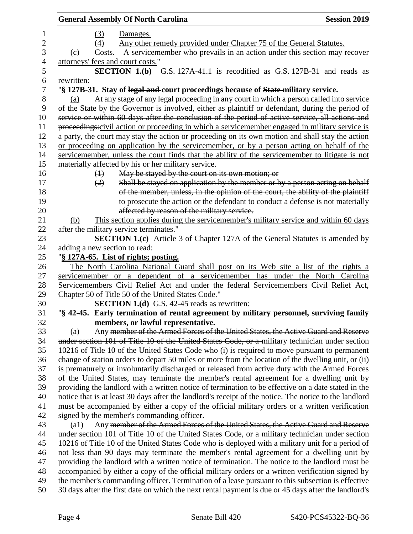| <b>General Assembly Of North Carolina</b>                                                              | <b>Session 2019</b> |
|--------------------------------------------------------------------------------------------------------|---------------------|
| (3)<br>Damages.                                                                                        |                     |
| Any other remedy provided under Chapter 75 of the General Statutes.<br>(4)                             |                     |
| $Costs. - A service member who prevails in an action under this section may recover$<br>(c)            |                     |
| attorneys' fees and court costs."                                                                      |                     |
| SECTION 1.(b) G.S. 127A-41.1 is recodified as G.S. 127B-31 and reads as                                |                     |
| rewritten:                                                                                             |                     |
| "§ 127B-31. Stay of legal and court proceedings because of State military service.                     |                     |
| At any stage of any legal proceeding in any court in which a person called into service<br>(a)         |                     |
| of the State by the Governor is involved, either as plaintiff or defendant, during the period of       |                     |
| service or within 60 days after the conclusion of the period of active service, all actions and        |                     |
| proceedings:civil action or proceeding in which a servicemember engaged in military service is         |                     |
|                                                                                                        |                     |
| a party, the court may stay the action or proceeding on its own motion and shall stay the action       |                     |
| or proceeding on application by the servicemember, or by a person acting on behalf of the              |                     |
| servicemember, unless the court finds that the ability of the servicemember to litigate is not         |                     |
| materially affected by his or her military service.                                                    |                     |
| May be stayed by the court on its own motion; or<br>$\leftrightarrow$                                  |                     |
| Shall be stayed on application by the member or by a person acting on behalf<br>(2)                    |                     |
| of the member, unless, in the opinion of the court, the ability of the plaintiff                       |                     |
| to prosecute the action or the defendant to conduct a defense is not materially                        |                     |
| affected by reason of the military service.                                                            |                     |
| This section applies during the servicemember's military service and within 60 days<br>(b)             |                     |
| after the military service terminates."                                                                |                     |
| <b>SECTION 1.(c)</b> Article 3 of Chapter 127A of the General Statutes is amended by                   |                     |
| adding a new section to read:                                                                          |                     |
| "§ 127A-65. List of rights; posting.                                                                   |                     |
| The North Carolina National Guard shall post on its Web site a list of the rights a                    |                     |
| servicemember or a dependent of a servicemember has under the North Carolina                           |                     |
| Servicemembers Civil Relief Act and under the federal Servicemembers Civil Relief Act,                 |                     |
| Chapter 50 of Title 50 of the United States Code."                                                     |                     |
| <b>SECTION 1.(d)</b> G.S. 42-45 reads as rewritten:                                                    |                     |
| "§ 42-45. Early termination of rental agreement by military personnel, surviving family                |                     |
| members, or lawful representative.                                                                     |                     |
| Any member of the Armed Forces of the United States, the Active Guard and Reserve<br>(a)               |                     |
| under section 101 of Title 10 of the United States Code, or a military technician under section        |                     |
| 10216 of Title 10 of the United States Code who (i) is required to move pursuant to permanent          |                     |
| change of station orders to depart 50 miles or more from the location of the dwelling unit, or (ii)    |                     |
| is prematurely or involuntarily discharged or released from active duty with the Armed Forces          |                     |
| of the United States, may terminate the member's rental agreement for a dwelling unit by               |                     |
| providing the landlord with a written notice of termination to be effective on a date stated in the    |                     |
| notice that is at least 30 days after the landlord's receipt of the notice. The notice to the landlord |                     |
| must be accompanied by either a copy of the official military orders or a written verification         |                     |
| signed by the member's commanding officer.                                                             |                     |
| Any member of the Armed Forces of the United States, the Active Guard and Reserve<br>(al)              |                     |
| under section 101 of Title 10 of the United States Code, or a military technician under section        |                     |
| 10216 of Title 10 of the United States Code who is deployed with a military unit for a period of       |                     |
| not less than 90 days may terminate the member's rental agreement for a dwelling unit by               |                     |
| providing the landlord with a written notice of termination. The notice to the landlord must be        |                     |
| accompanied by either a copy of the official military orders or a written verification signed by       |                     |
| the member's commanding officer. Termination of a lease pursuant to this subsection is effective       |                     |
| 30 days after the first date on which the next rental payment is due or 45 days after the landlord's   |                     |